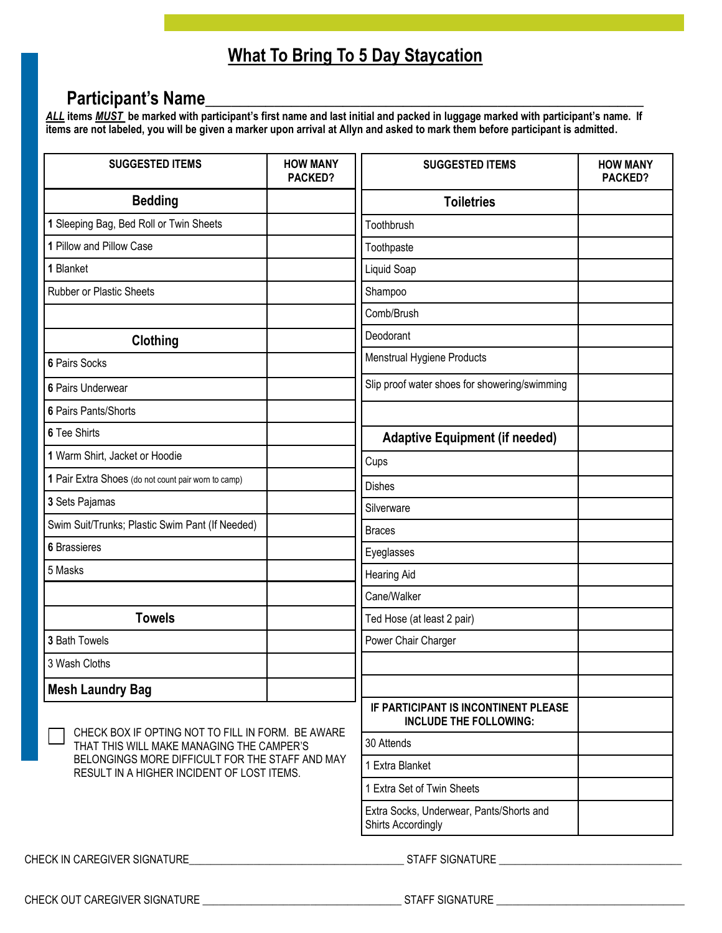# **What To Bring To 5 Day Staycation**

## **Participant's Name**\_\_\_\_\_\_\_\_\_\_\_\_\_\_\_\_\_\_\_\_\_\_\_\_\_\_\_\_\_\_\_\_\_\_\_\_\_\_\_\_\_\_\_\_\_\_\_\_\_\_\_

*ALL* **items** *MUST* **be marked with participant's first name and last initial and packed in luggage marked with participant's name. If items are not labeled, you will be given a marker upon arrival at Allyn and asked to mark them before participant is admitted.** 

| <b>SUGGESTED ITEMS</b>                                                                                                                                                                          | <b>HOW MANY</b><br>PACKED? | <b>SUGGESTED ITEMS</b>                                                | <b>HOW MANY</b><br><b>PACKED?</b> |
|-------------------------------------------------------------------------------------------------------------------------------------------------------------------------------------------------|----------------------------|-----------------------------------------------------------------------|-----------------------------------|
| <b>Bedding</b>                                                                                                                                                                                  |                            | <b>Toiletries</b>                                                     |                                   |
| 1 Sleeping Bag, Bed Roll or Twin Sheets                                                                                                                                                         |                            | Toothbrush                                                            |                                   |
| 1 Pillow and Pillow Case                                                                                                                                                                        |                            | Toothpaste                                                            |                                   |
| 1 Blanket                                                                                                                                                                                       |                            | Liquid Soap                                                           |                                   |
| <b>Rubber or Plastic Sheets</b>                                                                                                                                                                 |                            | Shampoo                                                               |                                   |
|                                                                                                                                                                                                 |                            | Comb/Brush                                                            |                                   |
| Clothing                                                                                                                                                                                        |                            | Deodorant                                                             |                                   |
| 6 Pairs Socks                                                                                                                                                                                   |                            | Menstrual Hygiene Products                                            |                                   |
| 6 Pairs Underwear                                                                                                                                                                               |                            | Slip proof water shoes for showering/swimming                         |                                   |
| 6 Pairs Pants/Shorts                                                                                                                                                                            |                            |                                                                       |                                   |
| 6 Tee Shirts                                                                                                                                                                                    |                            | <b>Adaptive Equipment (if needed)</b>                                 |                                   |
| 1 Warm Shirt, Jacket or Hoodie                                                                                                                                                                  |                            | Cups                                                                  |                                   |
| 1 Pair Extra Shoes (do not count pair worn to camp)                                                                                                                                             |                            | <b>Dishes</b>                                                         |                                   |
| 3 Sets Pajamas                                                                                                                                                                                  |                            | Silverware                                                            |                                   |
| Swim Suit/Trunks; Plastic Swim Pant (If Needed)                                                                                                                                                 |                            | <b>Braces</b>                                                         |                                   |
| <b>6</b> Brassieres                                                                                                                                                                             |                            | Eyeglasses                                                            |                                   |
| 5 Masks                                                                                                                                                                                         |                            | <b>Hearing Aid</b>                                                    |                                   |
|                                                                                                                                                                                                 |                            | Cane/Walker                                                           |                                   |
| <b>Towels</b>                                                                                                                                                                                   |                            | Ted Hose (at least 2 pair)                                            |                                   |
| 3 Bath Towels                                                                                                                                                                                   |                            | Power Chair Charger                                                   |                                   |
| 3 Wash Cloths                                                                                                                                                                                   |                            |                                                                       |                                   |
| <b>Mesh Laundry Bag</b>                                                                                                                                                                         |                            |                                                                       |                                   |
| CHECK BOX IF OPTING NOT TO FILL IN FORM. BE AWARE<br>THAT THIS WILL MAKE MANAGING THE CAMPER'S<br>BELONGINGS MORE DIFFICULT FOR THE STAFF AND MAY<br>RESULT IN A HIGHER INCIDENT OF LOST ITEMS. |                            | IF PARTICIPANT IS INCONTINENT PLEASE<br><b>INCLUDE THE FOLLOWING:</b> |                                   |
|                                                                                                                                                                                                 |                            | 30 Attends                                                            |                                   |
|                                                                                                                                                                                                 |                            | 1 Extra Blanket                                                       |                                   |
|                                                                                                                                                                                                 |                            | 1 Extra Set of Twin Sheets                                            |                                   |
|                                                                                                                                                                                                 |                            | Extra Socks, Underwear, Pants/Shorts and<br>Shirts Accordingly        |                                   |
| CHECK IN CAREGIVER SIGNATURE                                                                                                                                                                    |                            | <b>STAFF SIGNATURE</b>                                                |                                   |

CHECK OUT CAREGIVER SIGNATURE \_\_\_\_\_\_\_\_\_\_\_\_\_\_\_\_\_\_\_\_\_\_\_\_\_\_\_\_\_\_\_\_\_\_\_\_\_ STAFF SIGNATURE \_\_\_\_\_\_\_\_\_\_\_\_\_\_\_\_\_\_\_\_\_\_\_\_\_\_\_\_\_\_\_\_\_\_\_